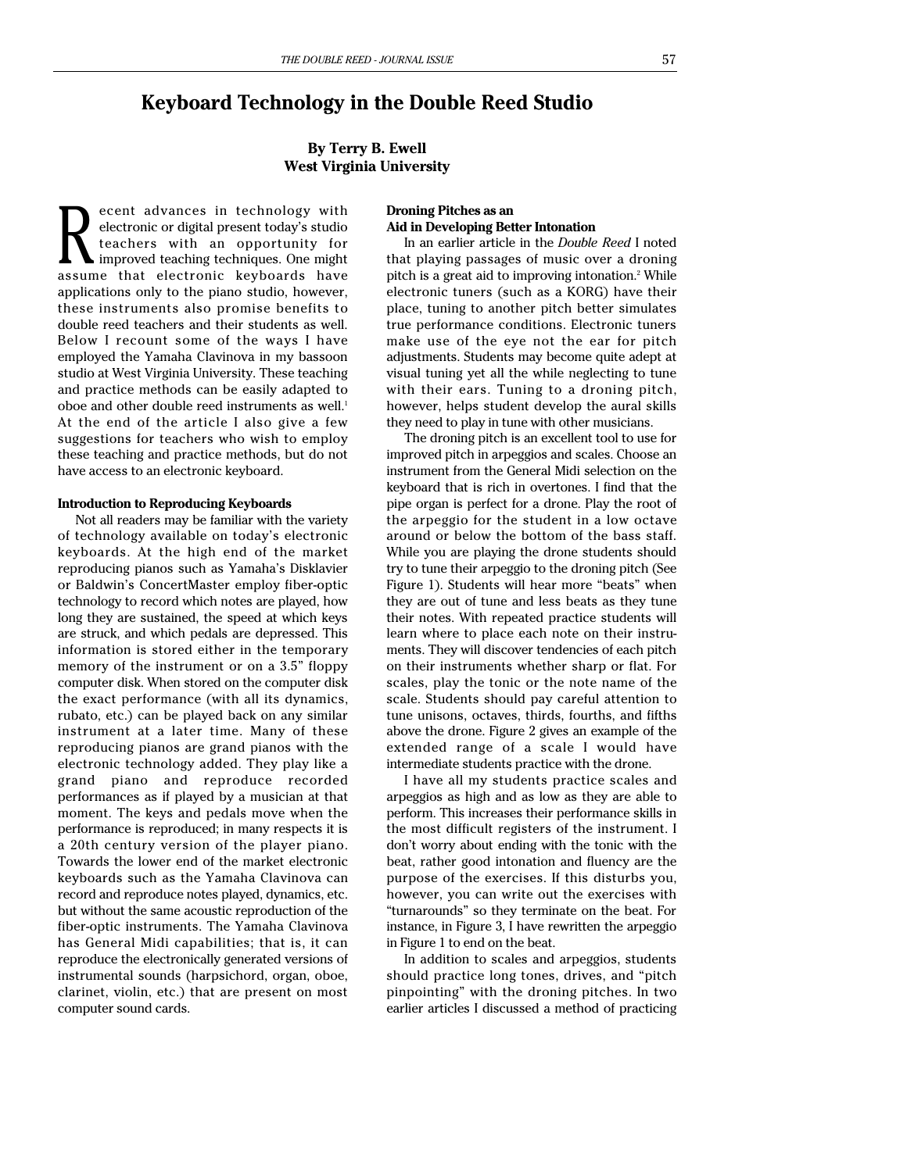# **Keyboard Technology in the Double Reed Studio**

# **By Terry B. Ewell West Virginia University**

ecent advances in technology with electronic or digital present today's studio teachers with an opportunity for improved teaching techniques. One might electronic or digital present today's studio<br>teachers with an opportunity for<br>assume that electronic keyboards have applications only to the piano studio, however, these instruments also promise benefits to double reed teachers and their students as well. Below I recount some of the ways I have employed the Yamaha Clavinova in my bassoon studio at West Virginia University. These teaching and practice methods can be easily adapted to oboe and other double reed instruments as well.<sup>1</sup> At the end of the article I also give a few suggestions for teachers who wish to employ these teaching and practice methods, but do not have access to an electronic keyboard.

#### **Introduction to Reproducing Keyboards**

Not all readers may be familiar with the variety of technology available on today's electronic keyboards. At the high end of the market reproducing pianos such as Yamaha's Disklavier or Baldwin's ConcertMaster employ fiber-optic technology to record which notes are played, how long they are sustained, the speed at which keys are struck, and which pedals are depressed. This information is stored either in the temporary memory of the instrument or on a 3.5" floppy computer disk. When stored on the computer disk the exact performance (with all its dynamics, rubato, etc.) can be played back on any similar instrument at a later time. Many of these reproducing pianos are grand pianos with the electronic technology added. They play like a grand piano and reproduce recorded performances as if played by a musician at that moment. The keys and pedals move when the performance is reproduced; in many respects it is a 20th century version of the player piano. Towards the lower end of the market electronic keyboards such as the Yamaha Clavinova can record and reproduce notes played, dynamics, etc. but without the same acoustic reproduction of the fiber-optic instruments. The Yamaha Clavinova has General Midi capabilities; that is, it can reproduce the electronically generated versions of instrumental sounds (harpsichord, organ, oboe, clarinet, violin, etc.) that are present on most computer sound cards.

### **Droning Pitches as an Aid in Developing Better Intonation**

In an earlier article in the *Double Reed* I noted that playing passages of music over a droning pitch is a great aid to improving intonation.<sup>2</sup> While electronic tuners (such as a KORG) have their place, tuning to another pitch better simulates true performance conditions. Electronic tuners make use of the eye not the ear for pitch adjustments. Students may become quite adept at visual tuning yet all the while neglecting to tune with their ears. Tuning to a droning pitch, however, helps student develop the aural skills they need to play in tune with other musicians.

The droning pitch is an excellent tool to use for improved pitch in arpeggios and scales. Choose an instrument from the General Midi selection on the keyboard that is rich in overtones. I find that the pipe organ is perfect for a drone. Play the root of the arpeggio for the student in a low octave around or below the bottom of the bass staff. While you are playing the drone students should try to tune their arpeggio to the droning pitch (See Figure 1). Students will hear more "beats" when they are out of tune and less beats as they tune their notes. With repeated practice students will learn where to place each note on their instruments. They will discover tendencies of each pitch on their instruments whether sharp or flat. For scales, play the tonic or the note name of the scale. Students should pay careful attention to tune unisons, octaves, thirds, fourths, and fifths above the drone. Figure 2 gives an example of the extended range of a scale I would have intermediate students practice with the drone.

I have all my students practice scales and arpeggios as high and as low as they are able to perform. This increases their performance skills in the most difficult registers of the instrument. I don't worry about ending with the tonic with the beat, rather good intonation and fluency are the purpose of the exercises. If this disturbs you, however, you can write out the exercises with "turnarounds" so they terminate on the beat. For instance, in Figure 3, I have rewritten the arpeggio in Figure 1 to end on the beat.

In addition to scales and arpeggios, students should practice long tones, drives, and "pitch pinpointing" with the droning pitches. In two earlier articles I discussed a method of practicing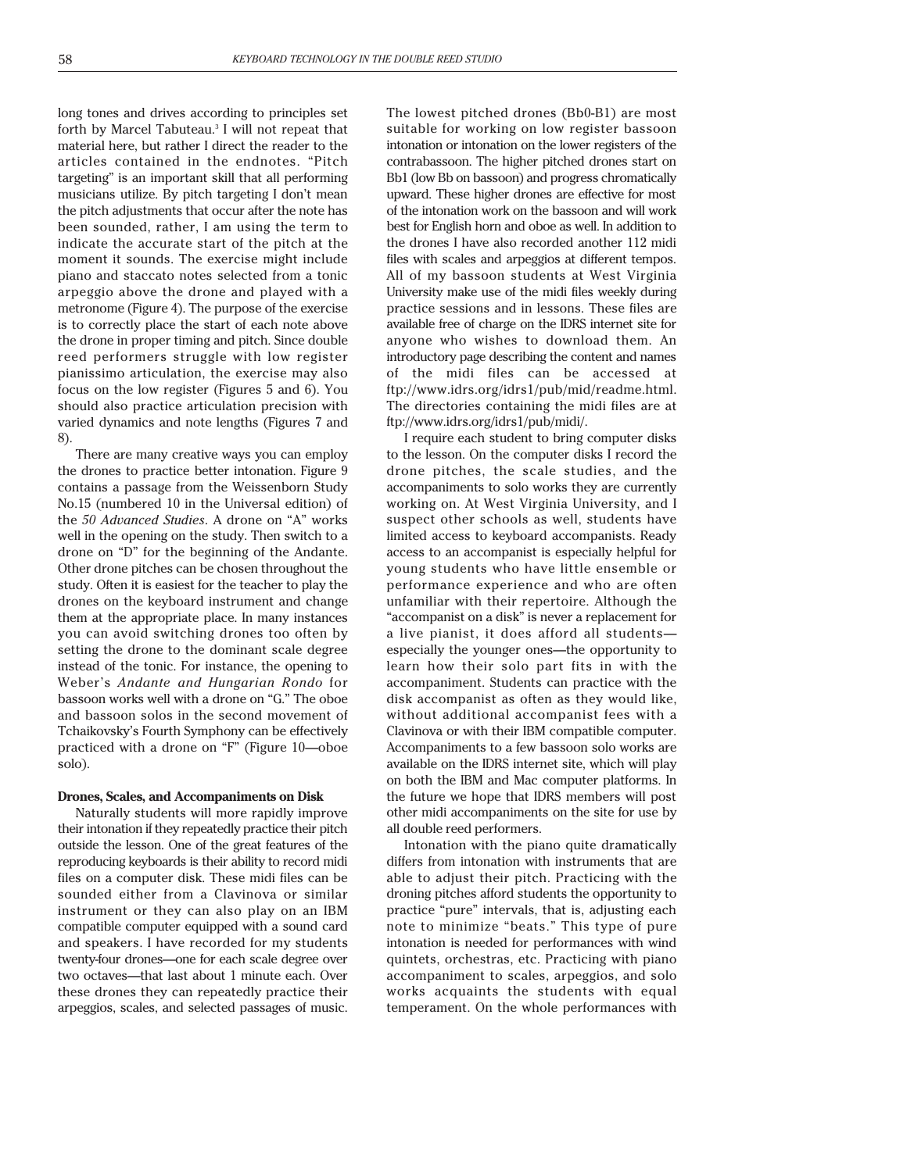long tones and drives according to principles set forth by Marcel Tabuteau.<sup>3</sup> I will not repeat that material here, but rather I direct the reader to the articles contained in the endnotes. "Pitch targeting" is an important skill that all performing musicians utilize. By pitch targeting I don't mean the pitch adjustments that occur after the note has been sounded, rather, I am using the term to indicate the accurate start of the pitch at the moment it sounds. The exercise might include piano and staccato notes selected from a tonic arpeggio above the drone and played with a metronome (Figure 4). The purpose of the exercise is to correctly place the start of each note above the drone in proper timing and pitch. Since double reed performers struggle with low register pianissimo articulation, the exercise may also focus on the low register (Figures 5 and 6). You should also practice articulation precision with varied dynamics and note lengths (Figures 7 and 8).

There are many creative ways you can employ the drones to practice better intonation. Figure 9 contains a passage from the Weissenborn Study No.15 (numbered 10 in the Universal edition) of the *50 Advanced Studies*. A drone on "A" works well in the opening on the study. Then switch to a drone on "D" for the beginning of the Andante. Other drone pitches can be chosen throughout the study. Often it is easiest for the teacher to play the drones on the keyboard instrument and change them at the appropriate place. In many instances you can avoid switching drones too often by setting the drone to the dominant scale degree instead of the tonic. For instance, the opening to Weber's *Andante and Hungarian Rondo* for bassoon works well with a drone on "G." The oboe and bassoon solos in the second movement of Tchaikovsky's Fourth Symphony can be effectively practiced with a drone on "F" (Figure 10—oboe solo).

### **Drones, Scales, and Accompaniments on Disk**

Naturally students will more rapidly improve their intonation if they repeatedly practice their pitch outside the lesson. One of the great features of the reproducing keyboards is their ability to record midi files on a computer disk. These midi files can be sounded either from a Clavinova or similar instrument or they can also play on an IBM compatible computer equipped with a sound card and speakers. I have recorded for my students twenty-four drones—one for each scale degree over two octaves—that last about 1 minute each. Over these drones they can repeatedly practice their arpeggios, scales, and selected passages of music.

The lowest pitched drones (Bb0-B1) are most suitable for working on low register bassoon intonation or intonation on the lower registers of the contrabassoon. The higher pitched drones start on Bb1 (low Bb on bassoon) and progress chromatically upward. These higher drones are effective for most of the intonation work on the bassoon and will work best for English horn and oboe as well. In addition to the drones I have also recorded another 112 midi files with scales and arpeggios at different tempos. All of my bassoon students at West Virginia University make use of the midi files weekly during practice sessions and in lessons. These files are available free of charge on the IDRS internet site for anyone who wishes to download them. An introductory page describing the content and names of the midi files can be accessed at ftp://www.idrs.org/idrs1/pub/mid/readme.html. The directories containing the midi files are at ftp://www.idrs.org/idrs1/pub/midi/.

I require each student to bring computer disks to the lesson. On the computer disks I record the drone pitches, the scale studies, and the accompaniments to solo works they are currently working on. At West Virginia University, and I suspect other schools as well, students have limited access to keyboard accompanists. Ready access to an accompanist is especially helpful for young students who have little ensemble or performance experience and who are often unfamiliar with their repertoire. Although the "accompanist on a disk" is never a replacement for a live pianist, it does afford all students especially the younger ones—the opportunity to learn how their solo part fits in with the accompaniment. Students can practice with the disk accompanist as often as they would like, without additional accompanist fees with a Clavinova or with their IBM compatible computer. Accompaniments to a few bassoon solo works are available on the IDRS internet site, which will play on both the IBM and Mac computer platforms. In the future we hope that IDRS members will post other midi accompaniments on the site for use by all double reed performers.

Intonation with the piano quite dramatically differs from intonation with instruments that are able to adjust their pitch. Practicing with the droning pitches afford students the opportunity to practice "pure" intervals, that is, adjusting each note to minimize "beats." This type of pure intonation is needed for performances with wind quintets, orchestras, etc. Practicing with piano accompaniment to scales, arpeggios, and solo works acquaints the students with equal temperament. On the whole performances with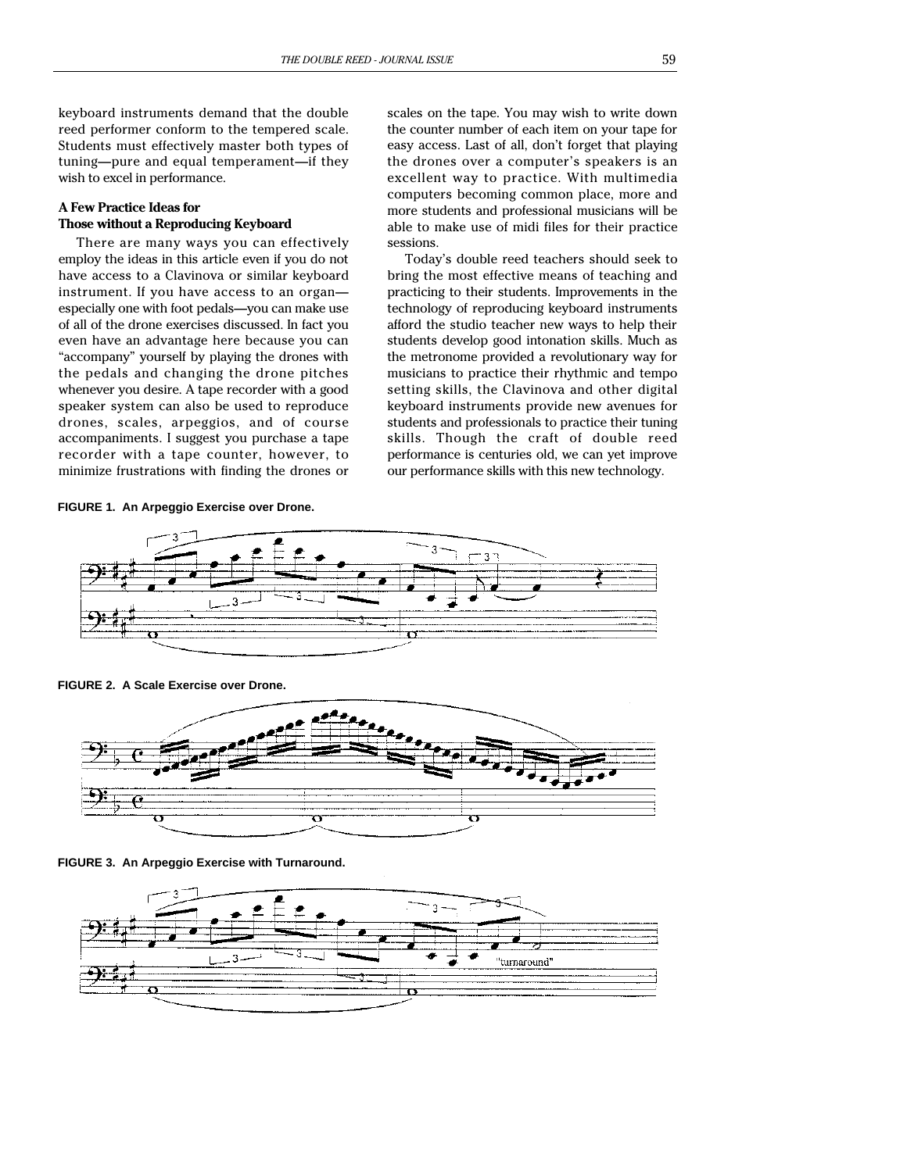keyboard instruments demand that the double reed performer conform to the tempered scale. Students must effectively master both types of tuning—pure and equal temperament—if they wish to excel in performance.

# **A Few Practice Ideas for Those without a Reproducing Keyboard**

There are many ways you can effectively employ the ideas in this article even if you do not have access to a Clavinova or similar keyboard instrument. If you have access to an organ especially one with foot pedals—you can make use of all of the drone exercises discussed. In fact you even have an advantage here because you can "accompany" yourself by playing the drones with the pedals and changing the drone pitches whenever you desire. A tape recorder with a good speaker system can also be used to reproduce drones, scales, arpeggios, and of course accompaniments. I suggest you purchase a tape recorder with a tape counter, however, to minimize frustrations with finding the drones or

**FIGURE 1. An Arpeggio Exercise over Drone.**

scales on the tape. You may wish to write down the counter number of each item on your tape for easy access. Last of all, don't forget that playing the drones over a computer's speakers is an excellent way to practice. With multimedia computers becoming common place, more and more students and professional musicians will be able to make use of midi files for their practice sessions.

Today's double reed teachers should seek to bring the most effective means of teaching and practicing to their students. Improvements in the technology of reproducing keyboard instruments afford the studio teacher new ways to help their students develop good intonation skills. Much as the metronome provided a revolutionary way for musicians to practice their rhythmic and tempo setting skills, the Clavinova and other digital keyboard instruments provide new avenues for students and professionals to practice their tuning skills. Though the craft of double reed performance is centuries old, we can yet improve our performance skills with this new technology.



**FIGURE 2. A Scale Exercise over Drone.**



**FIGURE 3. An Arpeggio Exercise with Turnaround.**

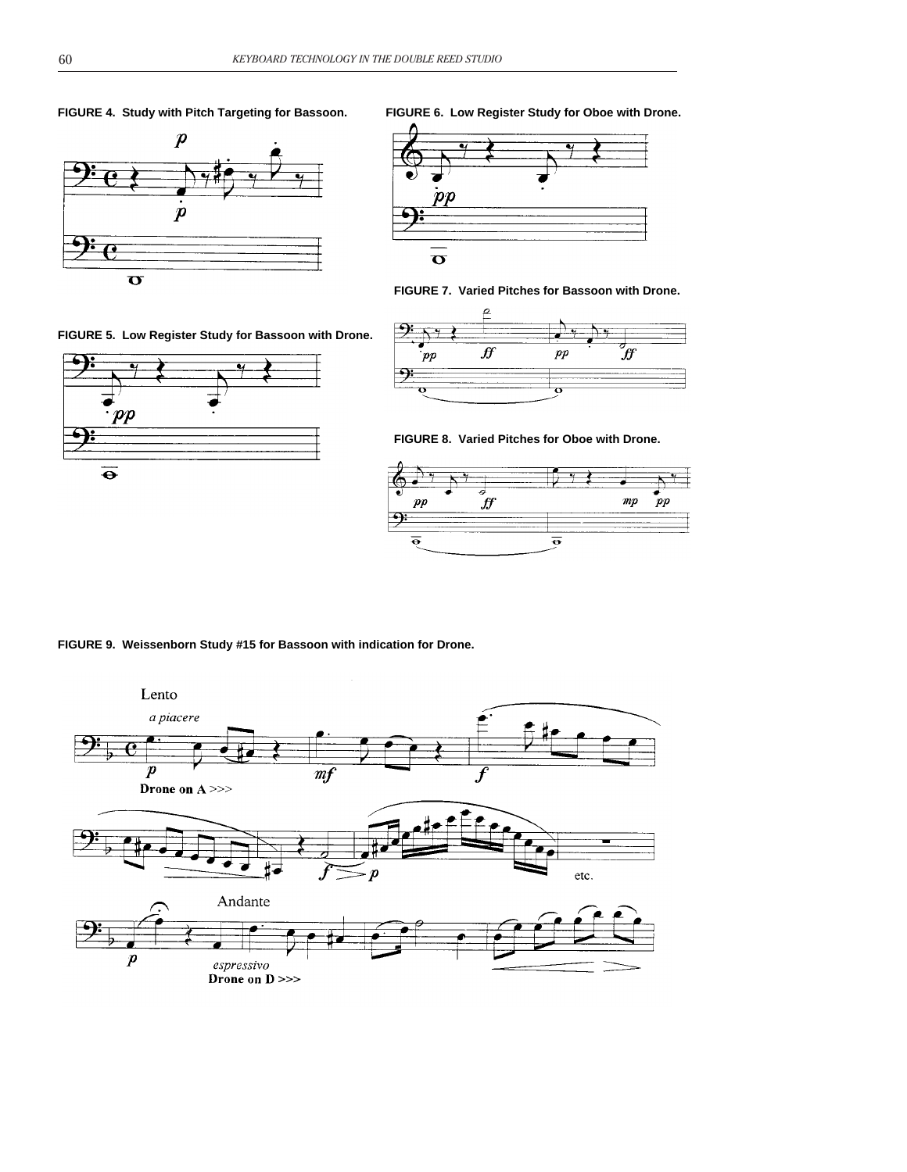

**FIGURE 5. Low Register Study for Bassoon with Drone.**



**FIGURE 4. Study with Pitch Targeting for Bassoon. FIGURE 6. Low Register Study for Oboe with Drone.**



**FIGURE 7. Varied Pitches for Bassoon with Drone.**



**FIGURE 8. Varied Pitches for Oboe with Drone.**



**FIGURE 9. Weissenborn Study #15 for Bassoon with indication for Drone.**